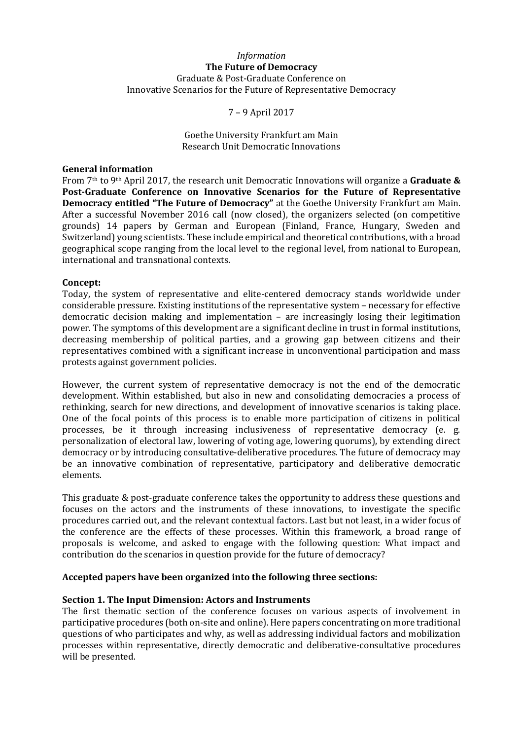# *Information* **The Future of Democracy** Graduate & Post-Graduate Conference on Innovative Scenarios for the Future of Representative Democracy

# 7 – 9 April 2017

### Goethe University Frankfurt am Main Research Unit Democratic Innovations

#### **General information**

From 7th to 9th April 2017, the research unit Democratic Innovations will organize a **Graduate & Post-Graduate Conference on Innovative Scenarios for the Future of Representative Democracy entitled "The Future of Democracy"** at the Goethe University Frankfurt am Main. After a successful November 2016 call (now closed), the organizers selected (on competitive grounds) 14 papers by German and European (Finland, France, Hungary, Sweden and Switzerland) young scientists. These include empirical and theoretical contributions, with a broad geographical scope ranging from the local level to the regional level, from national to European, international and transnational contexts.

### **Concept:**

Today, the system of representative and elite-centered democracy stands worldwide under considerable pressure. Existing institutions of the representative system – necessary for effective democratic decision making and implementation – are increasingly losing their legitimation power. The symptoms of this development are a significant decline in trust in formal institutions, decreasing membership of political parties, and a growing gap between citizens and their representatives combined with a significant increase in unconventional participation and mass protests against government policies.

However, the current system of representative democracy is not the end of the democratic development. Within established, but also in new and consolidating democracies a process of rethinking, search for new directions, and development of innovative scenarios is taking place. One of the focal points of this process is to enable more participation of citizens in political processes, be it through increasing inclusiveness of representative democracy (e. g. personalization of electoral law, lowering of voting age, lowering quorums), by extending direct democracy or by introducing consultative-deliberative procedures. The future of democracy may be an innovative combination of representative, participatory and deliberative democratic elements.

This graduate & post-graduate conference takes the opportunity to address these questions and focuses on the actors and the instruments of these innovations, to investigate the specific procedures carried out, and the relevant contextual factors. Last but not least, in a wider focus of the conference are the effects of these processes. Within this framework, a broad range of proposals is welcome, and asked to engage with the following question: What impact and contribution do the scenarios in question provide for the future of democracy?

### **Accepted papers have been organized into the following three sections:**

### **Section 1. The Input Dimension: Actors and Instruments**

The first thematic section of the conference focuses on various aspects of involvement in participative procedures (both on-site and online). Here papers concentrating on more traditional questions of who participates and why, as well as addressing individual factors and mobilization processes within representative, directly democratic and deliberative-consultative procedures will be presented.